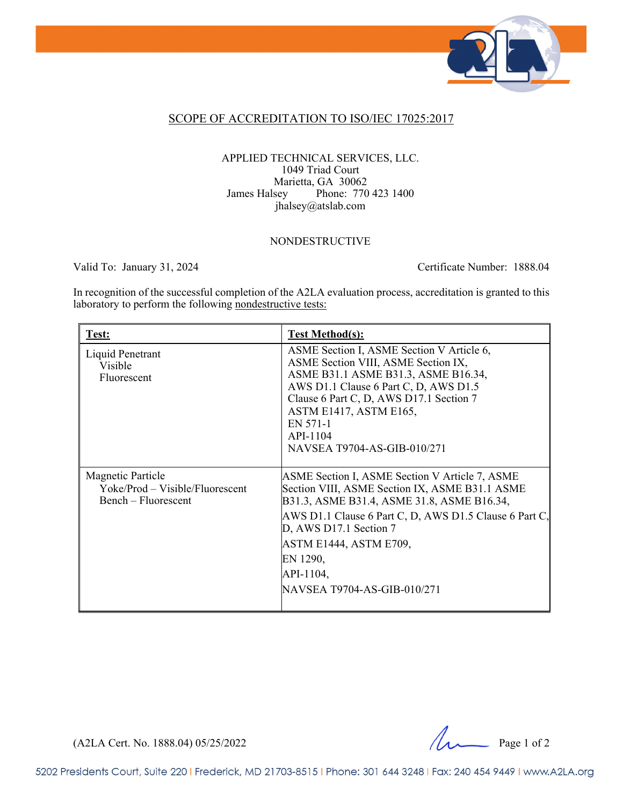

### SCOPE OF ACCREDITATION TO ISO/IEC 17025:2017

### APPLIED TECHNICAL SERVICES, LLC. 1049 Triad Court Marietta, GA 30062 James Halsey Phone: 770 423 1400 jhalsey@atslab.com

#### NONDESTRUCTIVE

Valid To: January 31, 2024 Certificate Number: 1888.04

In recognition of the successful completion of the A2LA evaluation process, accreditation is granted to this laboratory to perform the following nondestructive tests:

| Test:                                                                       | <b>Test Method(s):</b>                                                                                                                                                                                                                                                                                               |
|-----------------------------------------------------------------------------|----------------------------------------------------------------------------------------------------------------------------------------------------------------------------------------------------------------------------------------------------------------------------------------------------------------------|
| Liquid Penetrant<br>Visible<br>Fluorescent                                  | ASME Section I, ASME Section V Article 6,<br>ASME Section VIII, ASME Section IX,<br>ASME B31.1 ASME B31.3, ASME B16.34,<br>AWS D1.1 Clause 6 Part C, D, AWS D1.5<br>Clause 6 Part C, D, AWS D17.1 Section 7<br><b>ASTM E1417, ASTM E165,</b><br>EN 571-1<br>API-1104<br>NAVSEA T9704-AS-GIB-010/271                  |
| Magnetic Particle<br>Yoke/Prod – Visible/Fluorescent<br>Bench – Fluorescent | ASME Section I, ASME Section V Article 7, ASME<br>Section VIII, ASME Section IX, ASME B31.1 ASME<br>B31.3, ASME B31.4, ASME 31.8, ASME B16.34,<br>AWS D1.1 Clause 6 Part C, D, AWS D1.5 Clause 6 Part C,<br>D, AWS D17.1 Section 7<br>ASTM E1444, ASTM E709,<br>EN 1290,<br>API-1104,<br>NAVSEA T9704-AS-GIB-010/271 |

(A2LA Cert. No. 1888.04) 05/25/2022 Page 1 of 2

5202 Presidents Court, Suite 220 | Frederick, MD 21703-8515 | Phone: 301 644 3248 | Fax: 240 454 9449 | www.A2LA.org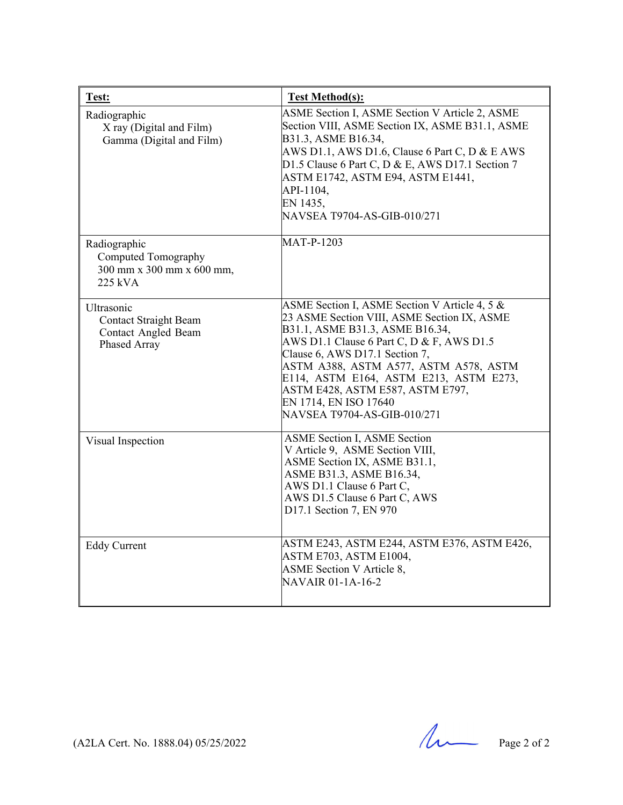| Test:                                                                                    | <b>Test Method(s):</b>                                                                                                                                                                                                                                                                                                                                                                        |
|------------------------------------------------------------------------------------------|-----------------------------------------------------------------------------------------------------------------------------------------------------------------------------------------------------------------------------------------------------------------------------------------------------------------------------------------------------------------------------------------------|
| Radiographic<br>X ray (Digital and Film)<br>Gamma (Digital and Film)                     | ASME Section I, ASME Section V Article 2, ASME<br>Section VIII, ASME Section IX, ASME B31.1, ASME<br>B31.3, ASME B16.34,<br>AWS D1.1, AWS D1.6, Clause 6 Part C, D & E AWS<br>D1.5 Clause 6 Part C, D & E, AWS D17.1 Section 7<br>ASTM E1742, ASTM E94, ASTM E1441,<br>API-1104,<br>EN 1435,<br>NAVSEA T9704-AS-GIB-010/271                                                                   |
| Radiographic<br>Computed Tomography<br>300 mm x 300 mm x 600 mm,<br>$225$ kVA            | <b>MAT-P-1203</b>                                                                                                                                                                                                                                                                                                                                                                             |
| Ultrasonic<br><b>Contact Straight Beam</b><br><b>Contact Angled Beam</b><br>Phased Array | ASME Section I, ASME Section V Article 4, 5 &<br>23 ASME Section VIII, ASME Section IX, ASME<br>B31.1, ASME B31.3, ASME B16.34,<br>AWS D1.1 Clause 6 Part C, D & F, AWS D1.5<br>Clause 6, AWS D17.1 Section 7,<br>ASTM A388, ASTM A577, ASTM A578, ASTM<br>E114, ASTM E164, ASTM E213, ASTM E273,<br>ASTM E428, ASTM E587, ASTM E797,<br>EN 1714, EN ISO 17640<br>NAVSEA T9704-AS-GIB-010/271 |
| Visual Inspection                                                                        | ASME Section I, ASME Section<br>V Article 9, ASME Section VIII,<br>ASME Section IX, ASME B31.1,<br>ASME B31.3, ASME B16.34,<br>AWS D1.1 Clause 6 Part C,<br>AWS D1.5 Clause 6 Part C, AWS<br>D17.1 Section 7, EN 970                                                                                                                                                                          |
| <b>Eddy Current</b>                                                                      | ASTM E243, ASTM E244, ASTM E376, ASTM E426,<br>ASTM E703, ASTM E1004,<br><b>ASME</b> Section V Article 8,<br>NAVAIR 01-1A-16-2                                                                                                                                                                                                                                                                |